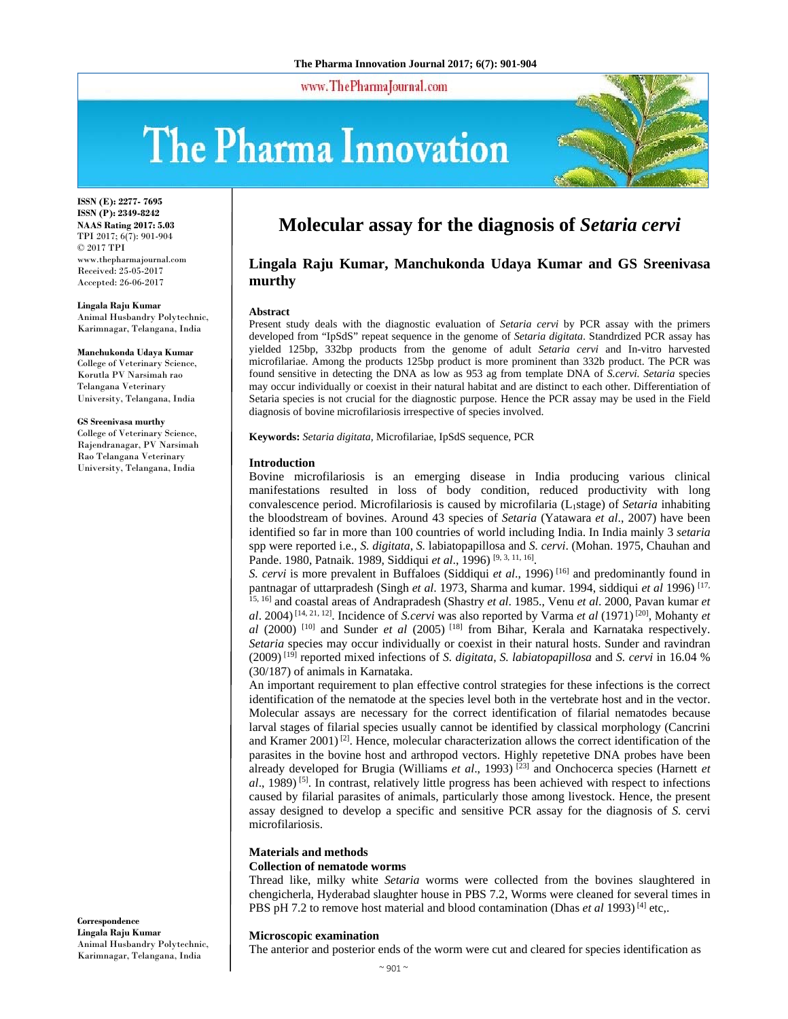www.ThePharmaJournal.com

# The Pharma Innovation



**ISSN (E): 2277- 7695 ISSN (P): 2349-8242 NAAS Rating 2017: 5.03** TPI 2017; 6(7): 901-904 © 2017 TPI www.thepharmajournal.com Received: 25-05-2017 Accepted: 26-06-2017

#### **Lingala Raju Kumar**

Animal Husbandry Polytechnic, Karimnagar, Telangana, India

#### **Manchukonda Udaya Kumar**

College of Veterinary Science, Korutla PV Narsimah rao Telangana Veterinary University, Telangana, India

#### **GS Sreenivasa murthy**

College of Veterinary Science, Rajendranagar, PV Narsimah Rao Telangana Veterinary University, Telangana, India

## **Molecular assay for the diagnosis of** *Setaria cervi*

## **Lingala Raju Kumar, Manchukonda Udaya Kumar and GS Sreenivasa murthy**

#### **Abstract**

Present study deals with the diagnostic evaluation of *Setaria cervi* by PCR assay with the primers developed from "IpSdS" repeat sequence in the genome of *Setaria digitata*. Standrdized PCR assay has yielded 125bp, 332bp products from the genome of adult *Setaria cervi* and In-vitro harvested microfilariae. Among the products 125bp product is more prominent than 332b product. The PCR was found sensitive in detecting the DNA as low as 953 ag from template DNA of *S.cervi. Setaria* species may occur individually or coexist in their natural habitat and are distinct to each other. Differentiation of Setaria species is not crucial for the diagnostic purpose*.* Hence the PCR assay may be used in the Field diagnosis of bovine microfilariosis irrespective of species involved.

**Keywords:** *Setaria digitata*, Microfilariae, IpSdS sequence, PCR

#### **Introduction**

Bovine microfilariosis is an emerging disease in India producing various clinical manifestations resulted in loss of body condition, reduced productivity with long convalescence period. Microfilariosis is caused by microfilaria (L1stage) of *Setaria* inhabiting the bloodstream of bovines. Around 43 species of *Setaria* (Yatawara *et al*., 2007) have been identified so far in more than 100 countries of world including India. In India mainly 3 *setaria* spp were reported i.e., *S. digitata*, *S.* labiatopapillosa and *S. cervi*. (Mohan. 1975, Chauhan and Pande. 1980, Patnaik. 1989, Siddiqui et al., 1996)<sup>[9, 3, 11, 16]</sup>.

*S. cervi* is more prevalent in Buffaloes (Siddiqui *et al*., 1996) [16] and predominantly found in pantnagar of uttarpradesh (Singh *et al*. 1973, Sharma and kumar. 1994, siddiqui *et al* 1996) [17,

15, 16] and coastal areas of Andrapradesh (Shastry *et al*. 1985., Venu *et al*. 2000, Pavan kumar *et al*. 2004) [14, 21, 12]. Incidence of *S.cervi* was also reported by Varma *et al* (1971) [20], Mohanty *et al* (2000) [10] and Sunder *et al* (2005) [18] from Bihar, Kerala and Karnataka respectively. *Setaria* species may occur individually or coexist in their natural hosts. Sunder and ravindran (2009) [19] reported mixed infections of *S. digitata*, *S. labiatopapillosa* and *S. cervi* in 16.04 % (30/187) of animals in Karnataka.

An important requirement to plan effective control strategies for these infections is the correct identification of the nematode at the species level both in the vertebrate host and in the vector. Molecular assays are necessary for the correct identification of filarial nematodes because larval stages of filarial species usually cannot be identified by classical morphology (Cancrini and Kramer 2001)<sup>[2]</sup>. Hence, molecular characterization allows the correct identification of the parasites in the bovine host and arthropod vectors. Highly repetetive DNA probes have been already developed for Brugia (Williams *et al.*, 1993)<sup>[23]</sup> and Onchocerca species (Harnett *et al*., 1989) [5]. In contrast, relatively little progress has been achieved with respect to infections caused by filarial parasites of animals, particularly those among livestock. Hence, the present assay designed to develop a specific and sensitive PCR assay for the diagnosis of *S.* cervi microfilariosis.

## **Materials and methods**

## **Collection of nematode worms**

Thread like, milky white *Setaria* worms were collected from the bovines slaughtered in chengicherla, Hyderabad slaughter house in PBS 7.2, Worms were cleaned for several times in PBS pH 7.2 to remove host material and blood contamination (Dhas *et al* 1993)<sup>[4]</sup> etc,.

#### **Microscopic examination**

The anterior and posterior ends of the worm were cut and cleared for species identification as

**Correspondence Lingala Raju Kumar**  Animal Husbandry Polytechnic, Karimnagar, Telangana, India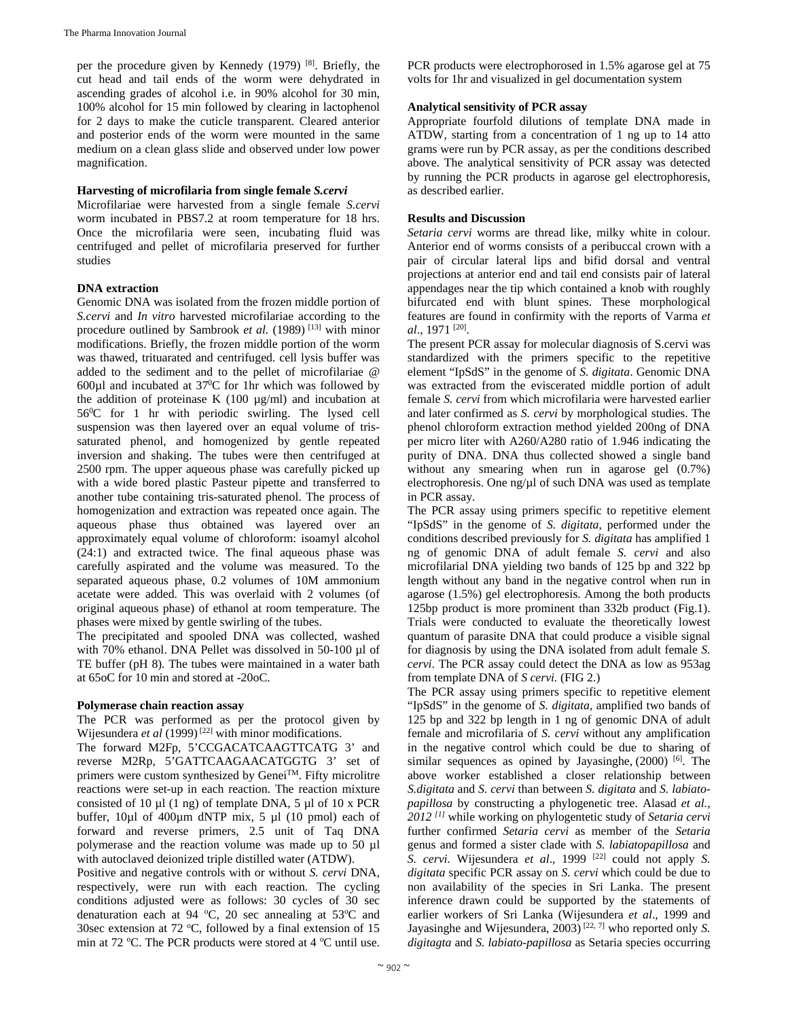per the procedure given by Kennedy (1979) [8]. Briefly, the cut head and tail ends of the worm were dehydrated in ascending grades of alcohol i.e. in 90% alcohol for 30 min, 100% alcohol for 15 min followed by clearing in lactophenol for 2 days to make the cuticle transparent. Cleared anterior and posterior ends of the worm were mounted in the same medium on a clean glass slide and observed under low power magnification.

## **Harvesting of microfilaria from single female** *S.cervi*

Microfilariae were harvested from a single female *S.cervi*  worm incubated in PBS7.2 at room temperature for 18 hrs. Once the microfilaria were seen, incubating fluid was centrifuged and pellet of microfilaria preserved for further studies

## **DNA extraction**

Genomic DNA was isolated from the frozen middle portion of *S.cervi* and *In vitro* harvested microfilariae according to the procedure outlined by Sambrook *et al.* (1989)<sup>[13]</sup> with minor modifications. Briefly, the frozen middle portion of the worm was thawed, trituarated and centrifuged. cell lysis buffer was added to the sediment and to the pellet of microfilariae @  $600\mu$ l and incubated at  $37\text{°C}$  for 1hr which was followed by the addition of proteinase K  $(100 \mu g/ml)$  and incubation at 560 C for 1 hr with periodic swirling. The lysed cell suspension was then layered over an equal volume of trissaturated phenol, and homogenized by gentle repeated inversion and shaking. The tubes were then centrifuged at 2500 rpm. The upper aqueous phase was carefully picked up with a wide bored plastic Pasteur pipette and transferred to another tube containing tris-saturated phenol. The process of homogenization and extraction was repeated once again. The aqueous phase thus obtained was layered over an approximately equal volume of chloroform: isoamyl alcohol (24:1) and extracted twice. The final aqueous phase was carefully aspirated and the volume was measured. To the separated aqueous phase, 0.2 volumes of 10M ammonium acetate were added. This was overlaid with 2 volumes (of original aqueous phase) of ethanol at room temperature. The phases were mixed by gentle swirling of the tubes.

The precipitated and spooled DNA was collected, washed with 70% ethanol. DNA Pellet was dissolved in 50-100 µl of TE buffer (pH 8). The tubes were maintained in a water bath at 65oC for 10 min and stored at -20oC.

## **Polymerase chain reaction assay**

The PCR was performed as per the protocol given by Wijesundera *et al* (1999)<sup>[22]</sup> with minor modifications.

The forward M2Fp, 5'CCGACATCAAGTTCATG 3' and reverse M2Rp, 5'GATTCAAGAACATGGTG 3' set of primers were custom synthesized by GeneiTM. Fifty microlitre reactions were set-up in each reaction. The reaction mixture consisted of 10  $\mu$ l (1 ng) of template DNA, 5  $\mu$ l of 10 x PCR buffer,  $10\mu$ l of  $400\mu$ m dNTP mix, 5  $\mu$ l (10 pmol) each of forward and reverse primers, 2.5 unit of Taq DNA polymerase and the reaction volume was made up to 50 µl with autoclaved deionized triple distilled water (ATDW).

Positive and negative controls with or without *S. cervi* DNA, respectively, were run with each reaction. The cycling conditions adjusted were as follows: 30 cycles of 30 sec denaturation each at 94  $°C$ , 20 sec annealing at 53 $°C$  and 30sec extension at 72  $\degree$ C, followed by a final extension of 15 min at 72 °C. The PCR products were stored at 4 °C until use. PCR products were electrophorosed in 1.5% agarose gel at 75 volts for 1hr and visualized in gel documentation system

## **Analytical sensitivity of PCR assay**

Appropriate fourfold dilutions of template DNA made in ATDW, starting from a concentration of 1 ng up to 14 atto grams were run by PCR assay, as per the conditions described above. The analytical sensitivity of PCR assay was detected by running the PCR products in agarose gel electrophoresis, as described earlier.

## **Results and Discussion**

*Setaria cervi* worms are thread like, milky white in colour. Anterior end of worms consists of a peribuccal crown with a pair of circular lateral lips and bifid dorsal and ventral projections at anterior end and tail end consists pair of lateral appendages near the tip which contained a knob with roughly bifurcated end with blunt spines. These morphological features are found in confirmity with the reports of Varma *et al*., 1971 [20].

The present PCR assay for molecular diagnosis of S.cervi was standardized with the primers specific to the repetitive element "IpSdS" in the genome of *S. digitata*. Genomic DNA was extracted from the eviscerated middle portion of adult female *S. cervi* from which microfilaria were harvested earlier and later confirmed as *S. cervi* by morphological studies. The phenol chloroform extraction method yielded 200ng of DNA per micro liter with A260/A280 ratio of 1.946 indicating the purity of DNA. DNA thus collected showed a single band without any smearing when run in agarose gel  $(0.7\%)$ electrophoresis. One ng/µl of such DNA was used as template in PCR assay.

The PCR assay using primers specific to repetitive element "IpSdS" in the genome of *S. digitata*, performed under the conditions described previously for *S. digitata* has amplified 1 ng of genomic DNA of adult female *S. cervi* and also microfilarial DNA yielding two bands of 125 bp and 322 bp length without any band in the negative control when run in agarose (1.5%) gel electrophoresis. Among the both products 125bp product is more prominent than 332b product (Fig.1). Trials were conducted to evaluate the theoretically lowest quantum of parasite DNA that could produce a visible signal for diagnosis by using the DNA isolated from adult female *S. cervi*. The PCR assay could detect the DNA as low as 953ag from template DNA of *S cervi.* (FIG 2.)

The PCR assay using primers specific to repetitive element "IpSdS" in the genome of *S. digitata*, amplified two bands of 125 bp and 322 bp length in 1 ng of genomic DNA of adult female and microfilaria of *S. cervi* without any amplification in the negative control which could be due to sharing of similar sequences as opined by Jayasinghe, (2000) <sup>[6]</sup>. The above worker established a closer relationship between *S.digitata* and *S. cervi* than between *S. digitata* and *S. labiatopapillosa* by constructing a phylogenetic tree. Alasad *et al., 2012 [1]* while working on phylogentetic study of *Setaria cervi* further confirmed *Setaria cervi* as member of the *Setaria* genus and formed a sister clade with *S. labiatopapillosa* and *S. cervi.* Wijesundera *et al*., 1999 [22] could not apply *S. digitata* specific PCR assay on *S. cervi* which could be due to non availability of the species in Sri Lanka. The present inference drawn could be supported by the statements of earlier workers of Sri Lanka (Wijesundera *et al*., 1999 and Jayasinghe and Wijesundera, 2003) [22, 7] who reported only *S. digitagta* and *S. labiato-papillosa* as Setaria species occurring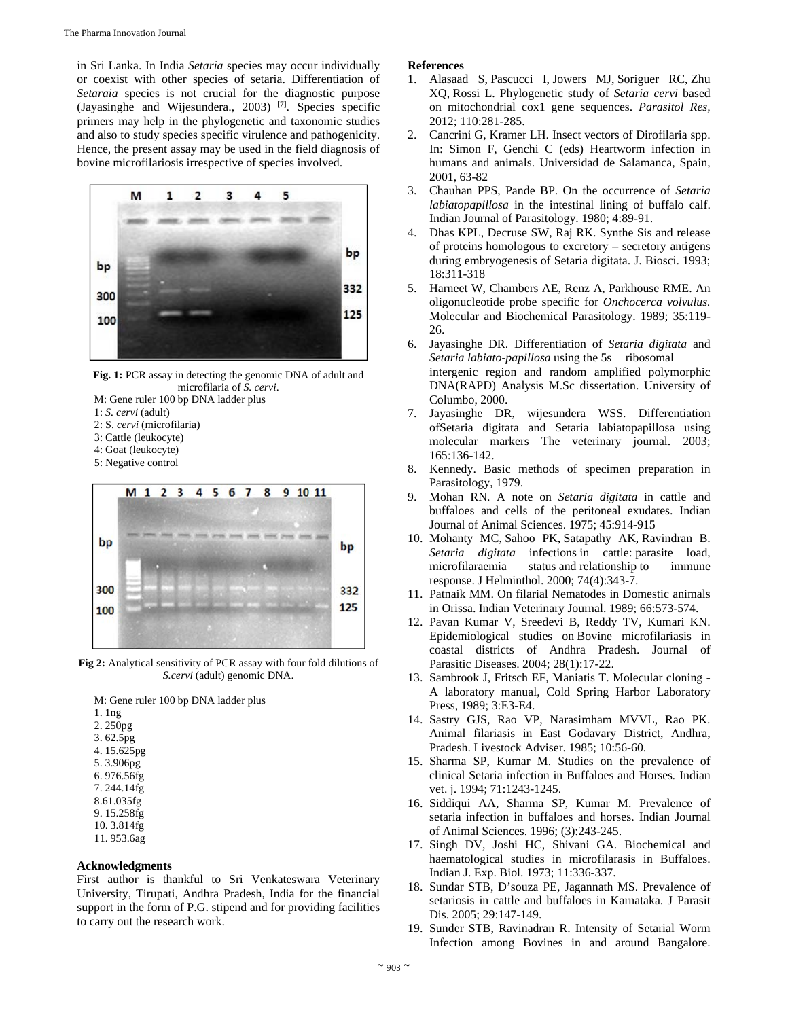in Sri Lanka. In India *Setaria* species may occur individually or coexist with other species of setaria. Differentiation of *Setaraia* species is not crucial for the diagnostic purpose (Jayasinghe and Wijesundera., 2003) [7]. Species specific primers may help in the phylogenetic and taxonomic studies and also to study species specific virulence and pathogenicity. Hence, the present assay may be used in the field diagnosis of bovine microfilariosis irrespective of species involved.



**Fig. 1:** PCR assay in detecting the genomic DNA of adult and microfilaria of *S. cervi*.

- M: Gene ruler 100 bp DNA ladder plus
- 1: *S. cervi* (adult)
- 2: S. *cervi* (microfilaria)
- 3: Cattle (leukocyte)
- 4: Goat (leukocyte)
- 5: Negative control



**Fig 2:** Analytical sensitivity of PCR assay with four fold dilutions of *S.cervi* (adult) genomic DNA.

M: Gene ruler 100 bp DNA ladder plus 1. 1ng 2. 250pg 3. 62.5pg 4. 15.625pg 5. 3.906pg 6. 976.56fg 7. 244.14fg 8.61.035fg

- 9. 15.258fg 10. 3.814fg
- 11. 953.6ag

### **Acknowledgments**

First author is thankful to Sri Venkateswara Veterinary University, Tirupati, Andhra Pradesh, India for the financial support in the form of P.G. stipend and for providing facilities to carry out the research work.

#### **References**

- 1. Alasaad S, Pascucci I, Jowers MJ, Soriguer RC, Zhu XQ, Rossi L. Phylogenetic study of *Setaria cervi* based on mitochondrial cox1 gene sequences. *Parasitol Res,*  2012; 110:281-285.
- 2. Cancrini G, Kramer LH. Insect vectors of Dirofilaria spp. In: Simon F, Genchi C (eds) Heartworm infection in humans and animals. Universidad de Salamanca, Spain, 2001, 63-82
- 3. Chauhan PPS, Pande BP. On the occurrence of *Setaria labiatopapillosa* in the intestinal lining of buffalo calf. Indian Journal of Parasitology. 1980; 4:89-91.
- 4. Dhas KPL, Decruse SW, Raj RK. Synthe Sis and release of proteins homologous to excretory – secretory antigens during embryogenesis of Setaria digitata. J. Biosci. 1993; 18:311-318
- 5. Harneet W, Chambers AE, Renz A, Parkhouse RME. An oligonucleotide probe specific for *Onchocerca volvulus.*  Molecular and Biochemical Parasitology. 1989; 35:119- 26.
- 6. Jayasinghe DR. Differentiation of *Setaria digitata* and *Setaria labiato-papillosa* using the 5s ribosomal intergenic region and random amplified polymorphic DNA(RAPD) Analysis M.Sc dissertation. University of Columbo, 2000.
- Jayasinghe DR, wijesundera WSS. Differentiation ofSetaria digitata and Setaria labiatopapillosa using molecular markers The veterinary journal. 2003; 165:136-142.
- 8. Kennedy. Basic methods of specimen preparation in Parasitology, 1979.
- 9. Mohan RN. A note on *Setaria digitata* in cattle and buffaloes and cells of the peritoneal exudates. Indian Journal of Animal Sciences. 1975; 45:914-915
- 10. Mohanty MC, Sahoo PK, Satapathy AK, Ravindran B. *Setaria digitata* infections in cattle: parasite load, microfilaraemia status and relationship to immune response. J Helminthol. 2000; 74(4):343-7.
- 11. Patnaik MM. On filarial Nematodes in Domestic animals in Orissa. Indian Veterinary Journal. 1989; 66:573-574.
- 12. Pavan Kumar V, Sreedevi B, Reddy TV, Kumari KN. Epidemiological studies on Bovine microfilariasis in coastal districts of Andhra Pradesh. Journal of Parasitic Diseases. 2004; 28(1):17-22.
- 13. Sambrook J, Fritsch EF, Maniatis T. Molecular cloning A laboratory manual, Cold Spring Harbor Laboratory Press, 1989; 3:E3-E4.
- 14. Sastry GJS, Rao VP, Narasimham MVVL, Rao PK. Animal filariasis in East Godavary District, Andhra, Pradesh. Livestock Adviser. 1985; 10:56-60.
- 15. Sharma SP, Kumar M. Studies on the prevalence of clinical Setaria infection in Buffaloes and Horses*.* Indian vet. j. 1994; 71:1243-1245.
- 16. Siddiqui AA, Sharma SP, Kumar M. Prevalence of setaria infection in buffaloes and horses. Indian Journal of Animal Sciences. 1996; (3):243-245.
- 17. Singh DV, Joshi HC, Shivani GA. Biochemical and haematological studies in microfilarasis in Buffaloes. Indian J. Exp. Biol. 1973; 11:336-337.
- 18. Sundar STB, D'souza PE, Jagannath MS. Prevalence of setariosis in cattle and buffaloes in Karnataka. J Parasit Dis. 2005; 29:147-149.
- 19. Sunder STB, Ravinadran R. Intensity of Setarial Worm Infection among Bovines in and around Bangalore.